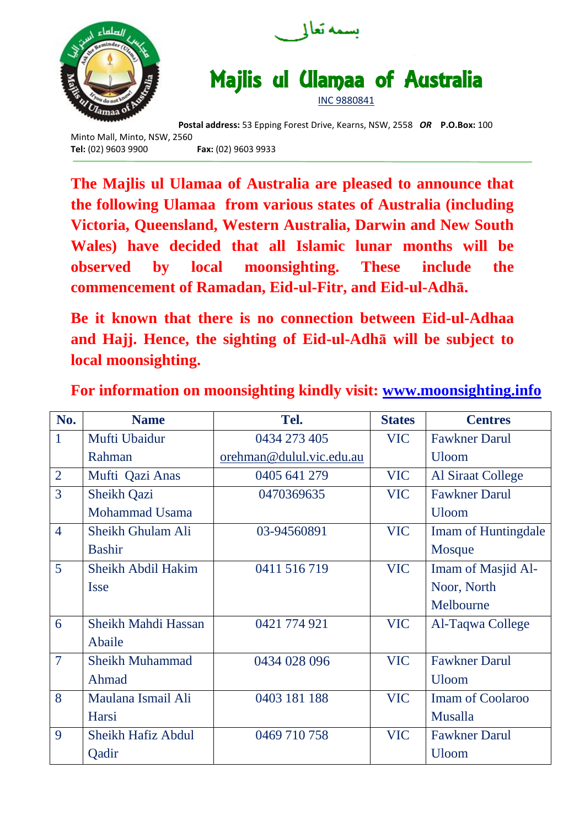

**The Majlis ul Ulamaa of Australia are pleased to announce that the following Ulamaa from various states of Australia (including Victoria, Queensland, Western Australia, Darwin and New South Wales) have decided that all Islamic lunar months will be observed by local moonsighting. These include the commencement of Ramadan, Eid-ul-Fitr, and Eid-ul-Adhā.** 

**Be it known that there is no connection between Eid-ul-Adhaa and Hajj. Hence, the sighting of Eid-ul-Adhā will be subject to local moonsighting.**

| No.            | <b>Name</b>               | Tel.                     | <b>States</b> | <b>Centres</b>             |
|----------------|---------------------------|--------------------------|---------------|----------------------------|
| $\mathbf{1}$   | Mufti Ubaidur             | 0434 273 405             | <b>VIC</b>    | <b>Fawkner Darul</b>       |
|                | Rahman                    | orehman@dulul.vic.edu.au |               | <b>Uloom</b>               |
| $\overline{2}$ | Mufti Qazi Anas           | 0405 641 279             | <b>VIC</b>    | Al Siraat College          |
| $\overline{3}$ | Sheikh Qazi               | 0470369635               | <b>VIC</b>    | <b>Fawkner Darul</b>       |
|                | Mohammad Usama            |                          |               | <b>Uloom</b>               |
| $\overline{4}$ | Sheikh Ghulam Ali         | 03-94560891              | <b>VIC</b>    | <b>Imam of Huntingdale</b> |
|                | <b>Bashir</b>             |                          |               | Mosque                     |
| 5              | Sheikh Abdil Hakim        | 0411 516 719             | <b>VIC</b>    | Imam of Masjid Al-         |
|                | <b>Isse</b>               |                          |               | Noor, North                |
|                |                           |                          |               | Melbourne                  |
| 6              | Sheikh Mahdi Hassan       | 0421 774 921             | <b>VIC</b>    | Al-Taqwa College           |
|                | Abaile                    |                          |               |                            |
| $\overline{7}$ | <b>Sheikh Muhammad</b>    | 0434 028 096             | <b>VIC</b>    | <b>Fawkner Darul</b>       |
|                | Ahmad                     |                          |               | <b>Uloom</b>               |
| 8              | Maulana Ismail Ali        | 0403 181 188             | <b>VIC</b>    | <b>Imam of Coolaroo</b>    |
|                | Harsi                     |                          |               | <b>Musalla</b>             |
| 9              | <b>Sheikh Hafiz Abdul</b> | 0469 710 758             | <b>VIC</b>    | <b>Fawkner Darul</b>       |
|                | Qadir                     |                          |               | <b>Uloom</b>               |

## **For information on moonsighting kindly visit: [www.moonsighting.info](http://www.moonsighting.info/)**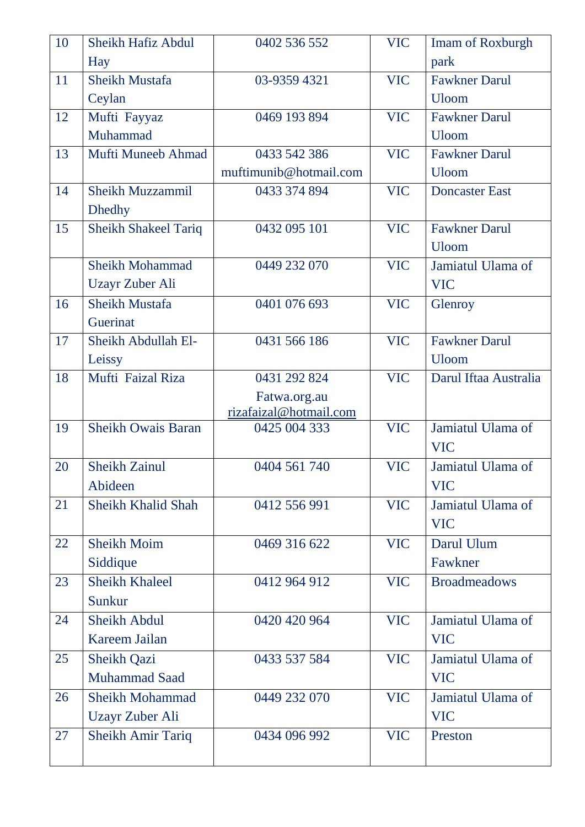| 10 | Sheikh Hafiz Abdul          | 0402 536 552           | <b>VIC</b> | <b>Imam of Roxburgh</b> |
|----|-----------------------------|------------------------|------------|-------------------------|
|    | Hay                         |                        |            | park                    |
| 11 | <b>Sheikh Mustafa</b>       | 03-9359 4321           | <b>VIC</b> | <b>Fawkner Darul</b>    |
|    | Ceylan                      |                        |            | <b>Uloom</b>            |
| 12 | Mufti Fayyaz                | 0469 193 894           | <b>VIC</b> | <b>Fawkner Darul</b>    |
|    | Muhammad                    |                        |            | <b>Uloom</b>            |
| 13 | Mufti Muneeb Ahmad          | 0433 542 386           | <b>VIC</b> | <b>Fawkner Darul</b>    |
|    |                             | muftimunib@hotmail.com |            | <b>Uloom</b>            |
| 14 | <b>Sheikh Muzzammil</b>     | 0433 374 894           | <b>VIC</b> | <b>Doncaster East</b>   |
|    | <b>Dhedhy</b>               |                        |            |                         |
| 15 | <b>Sheikh Shakeel Tariq</b> | 0432 095 101           | <b>VIC</b> | <b>Fawkner Darul</b>    |
|    |                             |                        |            | <b>Uloom</b>            |
|    | <b>Sheikh Mohammad</b>      | 0449 232 070           | <b>VIC</b> | Jamiatul Ulama of       |
|    | <b>Uzayr Zuber Ali</b>      |                        |            | <b>VIC</b>              |
| 16 | <b>Sheikh Mustafa</b>       | 0401 076 693           | <b>VIC</b> | Glenroy                 |
|    | Guerinat                    |                        |            |                         |
| 17 | Sheikh Abdullah El-         | 0431 566 186           | <b>VIC</b> | <b>Fawkner Darul</b>    |
|    | Leissy                      |                        |            | <b>Uloom</b>            |
| 18 | Mufti Faizal Riza           | 0431 292 824           | <b>VIC</b> | Darul Iftaa Australia   |
|    |                             | Fatwa.org.au           |            |                         |
|    |                             | rizafaizal@hotmail.com |            |                         |
| 19 | <b>Sheikh Owais Baran</b>   | 0425 004 333           | <b>VIC</b> | Jamiatul Ulama of       |
|    |                             |                        |            | <b>VIC</b>              |
| 20 | <b>Sheikh Zainul</b>        | 0404 561 740           | <b>VIC</b> | Jamiatul Ulama of       |
|    | Abideen                     |                        |            | <b>VIC</b>              |
| 21 | Sheikh Khalid Shah          | 0412 556 991           | <b>VIC</b> | Jamiatul Ulama of       |
|    |                             |                        |            | <b>VIC</b>              |
| 22 | <b>Sheikh Moim</b>          | 0469 316 622           | <b>VIC</b> | Darul Ulum              |
|    | Siddique                    |                        |            | Fawkner                 |
| 23 | <b>Sheikh Khaleel</b>       | 0412 964 912           | <b>VIC</b> | <b>Broadmeadows</b>     |
|    | Sunkur                      |                        |            |                         |
| 24 | <b>Sheikh Abdul</b>         | 0420 420 964           | <b>VIC</b> | Jamiatul Ulama of       |
|    | Kareem Jailan               |                        |            | <b>VIC</b>              |
| 25 | Sheikh Qazi                 | 0433 537 584           | <b>VIC</b> | Jamiatul Ulama of       |
|    | <b>Muhammad Saad</b>        |                        |            | <b>VIC</b>              |
| 26 | <b>Sheikh Mohammad</b>      | 0449 232 070           | <b>VIC</b> | Jamiatul Ulama of       |
|    | <b>Uzayr Zuber Ali</b>      |                        |            | <b>VIC</b>              |
| 27 | <b>Sheikh Amir Tariq</b>    | 0434 096 992           | <b>VIC</b> | Preston                 |
|    |                             |                        |            |                         |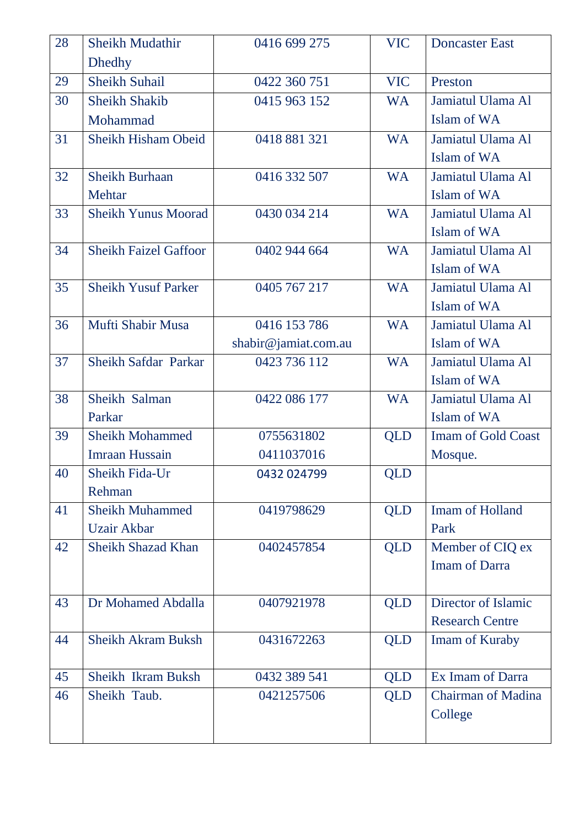| 28 | <b>Sheikh Mudathir</b>       | 0416 699 275         | <b>VIC</b> | <b>Doncaster East</b>     |
|----|------------------------------|----------------------|------------|---------------------------|
|    | <b>Dhedhy</b>                |                      |            |                           |
| 29 | <b>Sheikh Suhail</b>         | 0422 360 751         | <b>VIC</b> | Preston                   |
| 30 | <b>Sheikh Shakib</b>         | 0415 963 152         | <b>WA</b>  | Jamiatul Ulama Al         |
|    | Mohammad                     |                      |            | Islam of WA               |
| 31 | <b>Sheikh Hisham Obeid</b>   | 0418 881 321         | <b>WA</b>  | Jamiatul Ulama Al         |
|    |                              |                      |            | Islam of WA               |
| 32 | <b>Sheikh Burhaan</b>        | 0416 332 507         | <b>WA</b>  | Jamiatul Ulama Al         |
|    | Mehtar                       |                      |            | Islam of WA               |
| 33 | <b>Sheikh Yunus Moorad</b>   | 0430 034 214         | <b>WA</b>  | Jamiatul Ulama Al         |
|    |                              |                      |            | Islam of WA               |
| 34 | <b>Sheikh Faizel Gaffoor</b> | 0402 944 664         | <b>WA</b>  | Jamiatul Ulama Al         |
|    |                              |                      |            | Islam of WA               |
| 35 | <b>Sheikh Yusuf Parker</b>   | 0405 767 217         | <b>WA</b>  | Jamiatul Ulama Al         |
|    |                              |                      |            | Islam of WA               |
| 36 | Mufti Shabir Musa            | 0416 153 786         | <b>WA</b>  | Jamiatul Ulama Al         |
|    |                              | shabir@jamiat.com.au |            | Islam of WA               |
| 37 | Sheikh Safdar Parkar         | 0423 736 112         | <b>WA</b>  | Jamiatul Ulama Al         |
|    |                              |                      |            | Islam of WA               |
| 38 | Sheikh Salman                | 0422 086 177         | <b>WA</b>  | Jamiatul Ulama Al         |
|    | Parkar                       |                      |            | Islam of WA               |
| 39 | <b>Sheikh Mohammed</b>       | 0755631802           | <b>QLD</b> | <b>Imam of Gold Coast</b> |
|    | <b>Imraan Hussain</b>        | 0411037016           |            | Mosque.                   |
| 40 | Sheikh Fida-Ur               | 0432 024799          | QLD        |                           |
|    | Rehman                       |                      |            |                           |
| 41 | <b>Sheikh Muhammed</b>       | 0419798629           | <b>QLD</b> | <b>Imam of Holland</b>    |
|    | <b>Uzair Akbar</b>           |                      |            | Park                      |
| 42 | <b>Sheikh Shazad Khan</b>    | 0402457854           | <b>QLD</b> | Member of CIQ ex          |
|    |                              |                      |            | <b>Imam of Darra</b>      |
|    |                              |                      |            |                           |
| 43 | Dr Mohamed Abdalla           | 0407921978           | <b>QLD</b> | Director of Islamic       |
|    |                              |                      |            | <b>Research Centre</b>    |
| 44 | <b>Sheikh Akram Buksh</b>    | 0431672263           | <b>QLD</b> | Imam of Kuraby            |
|    |                              |                      |            |                           |
| 45 | Sheikh Ikram Buksh           | 0432 389 541         | <b>QLD</b> | Ex Imam of Darra          |
| 46 | Sheikh Taub.                 | 0421257506           | <b>QLD</b> | <b>Chairman of Madina</b> |
|    |                              |                      |            | College                   |
|    |                              |                      |            |                           |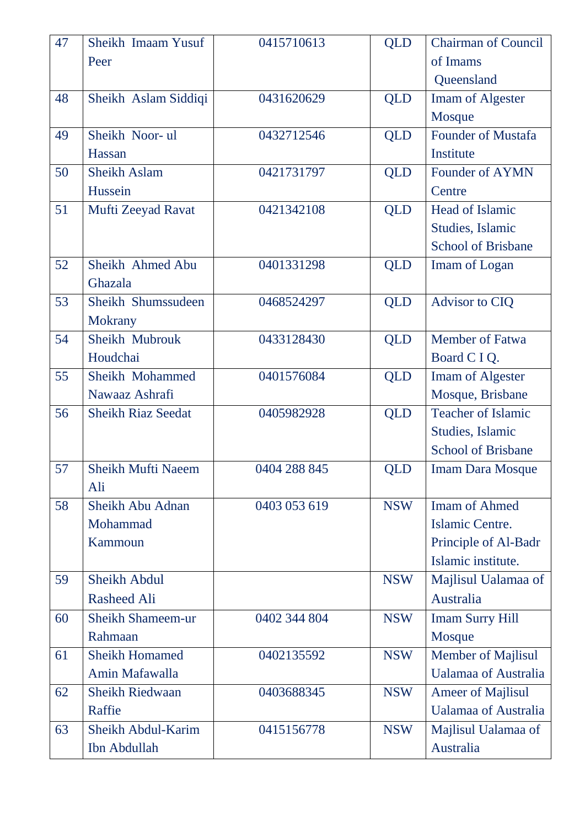| 47 | Sheikh Imaam Yusuf        | 0415710613   | <b>QLD</b> | <b>Chairman of Council</b>  |
|----|---------------------------|--------------|------------|-----------------------------|
|    | Peer                      |              |            | of Imams                    |
|    |                           |              |            | Queensland                  |
| 48 | Sheikh Aslam Siddiqi      | 0431620629   | <b>QLD</b> | <b>Imam of Algester</b>     |
|    |                           |              |            | Mosque                      |
| 49 | Sheikh Noor-ul            | 0432712546   | <b>QLD</b> | Founder of Mustafa          |
|    | Hassan                    |              |            | Institute                   |
| 50 | <b>Sheikh Aslam</b>       | 0421731797   | <b>QLD</b> | <b>Founder of AYMN</b>      |
|    | Hussein                   |              |            | Centre                      |
| 51 | Mufti Zeeyad Ravat        | 0421342108   | <b>QLD</b> | Head of Islamic             |
|    |                           |              |            | Studies, Islamic            |
|    |                           |              |            | <b>School of Brisbane</b>   |
| 52 | Sheikh Ahmed Abu          | 0401331298   | <b>QLD</b> | Imam of Logan               |
|    | Ghazala                   |              |            |                             |
| 53 | Sheikh Shumssudeen        | 0468524297   | <b>QLD</b> | Advisor to CIQ              |
|    | <b>Mokrany</b>            |              |            |                             |
| 54 | Sheikh Mubrouk            | 0433128430   | <b>QLD</b> | Member of Fatwa             |
|    | Houdchai                  |              |            | Board C I Q.                |
| 55 | Sheikh Mohammed           | 0401576084   | <b>QLD</b> | Imam of Algester            |
|    | Nawaaz Ashrafi            |              |            | Mosque, Brisbane            |
| 56 | <b>Sheikh Riaz Seedat</b> | 0405982928   | <b>QLD</b> | <b>Teacher of Islamic</b>   |
|    |                           |              |            | Studies, Islamic            |
|    |                           |              |            | <b>School of Brisbane</b>   |
| 57 | <b>Sheikh Mufti Naeem</b> | 0404 288 845 | <b>QLD</b> | <b>Imam Dara Mosque</b>     |
|    | Ali                       |              |            |                             |
| 58 | Sheikh Abu Adnan          | 0403 053 619 | <b>NSW</b> | <b>Imam of Ahmed</b>        |
|    | Mohammad                  |              |            | Islamic Centre.             |
|    | Kammoun                   |              |            | Principle of Al-Badr        |
|    |                           |              |            | Islamic institute.          |
| 59 | <b>Sheikh Abdul</b>       |              | <b>NSW</b> | Majlisul Ualamaa of         |
|    | <b>Rasheed Ali</b>        |              |            | Australia                   |
| 60 | <b>Sheikh Shameem-ur</b>  | 0402 344 804 | <b>NSW</b> | <b>Imam Surry Hill</b>      |
|    | Rahmaan                   |              |            | Mosque                      |
| 61 | <b>Sheikh Homamed</b>     | 0402135592   | <b>NSW</b> | <b>Member of Majlisul</b>   |
|    | Amin Mafawalla            |              |            | <b>Ualamaa of Australia</b> |
| 62 | <b>Sheikh Riedwaan</b>    | 0403688345   | <b>NSW</b> | <b>Ameer of Majlisul</b>    |
|    | Raffie                    |              |            | <b>Ualamaa of Australia</b> |
| 63 | <b>Sheikh Abdul-Karim</b> | 0415156778   | <b>NSW</b> | Majlisul Ualamaa of         |
|    | Ibn Abdullah              |              |            | Australia                   |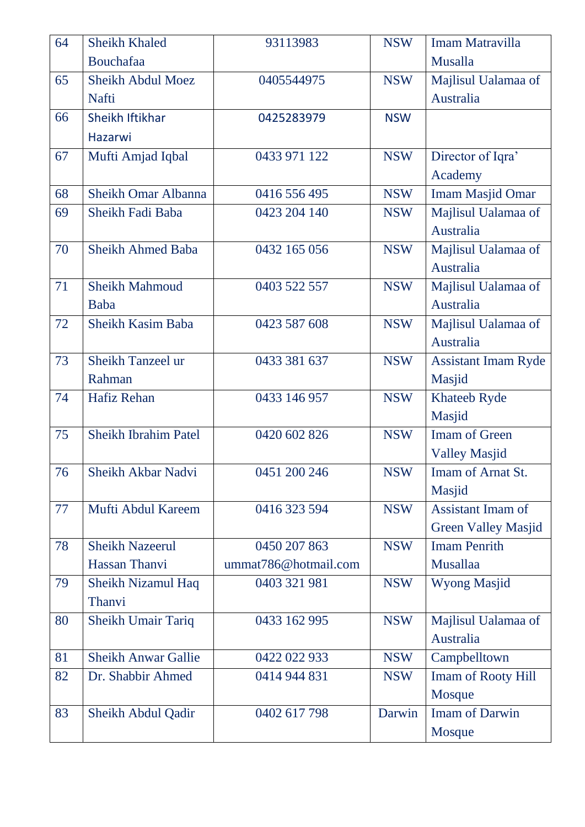| 64 | <b>Sheikh Khaled</b>        | 93113983             | <b>NSW</b> | <b>Imam Matravilla</b>     |
|----|-----------------------------|----------------------|------------|----------------------------|
|    | Bouchafaa                   |                      |            | Musalla                    |
| 65 | <b>Sheikh Abdul Moez</b>    | 0405544975           | <b>NSW</b> | Majlisul Ualamaa of        |
|    | Nafti                       |                      |            | Australia                  |
| 66 | Sheikh Iftikhar             | 0425283979           | <b>NSW</b> |                            |
|    | Hazarwi                     |                      |            |                            |
| 67 | Mufti Amjad Iqbal           | 0433 971 122         | <b>NSW</b> | Director of Iqra'          |
|    |                             |                      |            | Academy                    |
| 68 | Sheikh Omar Albanna         | 0416 556 495         | <b>NSW</b> | <b>Imam Masjid Omar</b>    |
| 69 | Sheikh Fadi Baba            | 0423 204 140         | <b>NSW</b> | Majlisul Ualamaa of        |
|    |                             |                      |            | Australia                  |
| 70 | <b>Sheikh Ahmed Baba</b>    | 0432 165 056         | <b>NSW</b> | Majlisul Ualamaa of        |
|    |                             |                      |            | Australia                  |
| 71 | <b>Sheikh Mahmoud</b>       | 0403 522 557         | <b>NSW</b> | Majlisul Ualamaa of        |
|    | Baba                        |                      |            | Australia                  |
| 72 | <b>Sheikh Kasim Baba</b>    | 0423 587 608         | <b>NSW</b> | Majlisul Ualamaa of        |
|    |                             |                      |            | Australia                  |
| 73 | Sheikh Tanzeel ur           | 0433 381 637         | <b>NSW</b> | <b>Assistant Imam Ryde</b> |
|    | Rahman                      |                      |            | Masjid                     |
| 74 | Hafiz Rehan                 | 0433 146 957         | <b>NSW</b> | <b>Khateeb Ryde</b>        |
|    |                             |                      |            | Masjid                     |
| 75 | <b>Sheikh Ibrahim Patel</b> | 0420 602 826         | <b>NSW</b> | <b>Imam of Green</b>       |
|    |                             |                      |            | <b>Valley Masjid</b>       |
| 76 | Sheikh Akbar Nadvi          | 0451 200 246         | <b>NSW</b> | Imam of Arnat St.          |
|    |                             |                      |            | Masjid                     |
| 77 | Mufti Abdul Kareem          | 0416 323 594         | <b>NSW</b> | <b>Assistant Imam of</b>   |
|    |                             |                      |            | <b>Green Valley Masjid</b> |
| 78 | <b>Sheikh Nazeerul</b>      | 0450 207 863         | <b>NSW</b> | <b>Imam Penrith</b>        |
|    | Hassan Thanvi               | ummat786@hotmail.com |            | <b>Musallaa</b>            |
| 79 | Sheikh Nizamul Haq          | 0403 321 981         | <b>NSW</b> | <b>Wyong Masjid</b>        |
|    | Thanvi                      |                      |            |                            |
| 80 | <b>Sheikh Umair Tariq</b>   | 0433 162 995         | <b>NSW</b> | Majlisul Ualamaa of        |
|    |                             |                      |            | Australia                  |
| 81 | <b>Sheikh Anwar Gallie</b>  | 0422 022 933         | <b>NSW</b> | Campbelltown               |
| 82 | Dr. Shabbir Ahmed           | 0414 944 831         | <b>NSW</b> | <b>Imam of Rooty Hill</b>  |
|    |                             |                      |            | Mosque                     |
| 83 | Sheikh Abdul Qadir          | 0402 617 798         | Darwin     | <b>Imam of Darwin</b>      |
|    |                             |                      |            | Mosque                     |